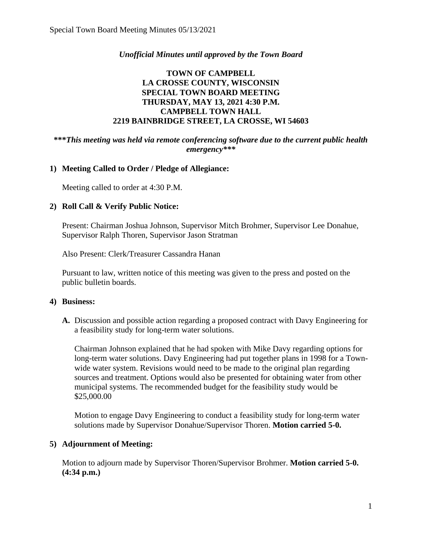## *Unofficial Minutes until approved by the Town Board*

# **TOWN OF CAMPBELL LA CROSSE COUNTY, WISCONSIN SPECIAL TOWN BOARD MEETING THURSDAY, MAY 13, 2021 4:30 P.M. CAMPBELL TOWN HALL 2219 BAINBRIDGE STREET, LA CROSSE, WI 54603**

### **\*\*\****This meeting was held via remote conferencing software due to the current public health emergency\*\*\**

### **1) Meeting Called to Order / Pledge of Allegiance:**

Meeting called to order at 4:30 P.M.

#### **2) Roll Call & Verify Public Notice:**

Present: Chairman Joshua Johnson, Supervisor Mitch Brohmer, Supervisor Lee Donahue, Supervisor Ralph Thoren, Supervisor Jason Stratman

Also Present: Clerk/Treasurer Cassandra Hanan

Pursuant to law, written notice of this meeting was given to the press and posted on the public bulletin boards.

#### **4) Business:**

**A.** Discussion and possible action regarding a proposed contract with Davy Engineering for a feasibility study for long-term water solutions.

Chairman Johnson explained that he had spoken with Mike Davy regarding options for long-term water solutions. Davy Engineering had put together plans in 1998 for a Townwide water system. Revisions would need to be made to the original plan regarding sources and treatment. Options would also be presented for obtaining water from other municipal systems. The recommended budget for the feasibility study would be \$25,000.00

Motion to engage Davy Engineering to conduct a feasibility study for long-term water solutions made by Supervisor Donahue/Supervisor Thoren. **Motion carried 5-0.** 

### **5) Adjournment of Meeting:**

Motion to adjourn made by Supervisor Thoren/Supervisor Brohmer. **Motion carried 5-0. (4:34 p.m.)**